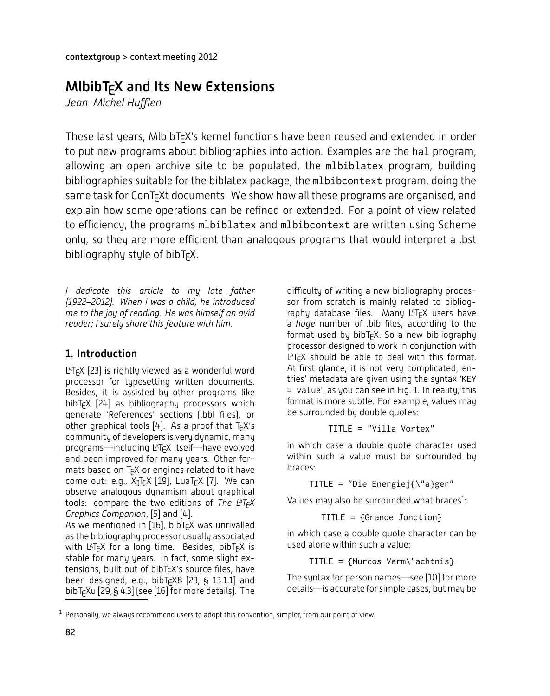# $M$ lbibT $\epsilon$ X and Its New Extensions

Jean-Michel Hufflen

These last years, MlbibT<sub>E</sub>X's kernel functions have been reused and extended in order to put new programs about bibliographies into action. Examples are the hal program, allowing an open archive site to be populated, the m1biblatex program, building bibliographies suitable for the biblatex package, the mlbibcontext program, doing the same task for ConT<sub>E</sub>Xt documents. We show how all these programs are organised, and explain how some operations can be refined or extended. For a point of view related to efficiency, the programs mlbiblatex and mlbibcontext are written using Scheme only, so they are more efficient than analogous programs that would interpret a .bst bibliography style of bibT<sub>F</sub>X.

*I* dedicate this article to my late father *(1922–2012). When I was a child, he introduced me to the joy of reading. He was himself an avid Leader*; *l surely share this feature with him.* 

## 1. Introduction

 $L$ <sup>A</sup>T<sub>F</sub>X [23] is rightly viewed as a wonderful word processor for typesetting written documents. Besides, it is assisted by other programs like bibT<sub>F</sub>X [24] as bibliography processors which generate 'References' sections (.bbl files), or other graphical tools [4]. As a proof that  $T_fX's$ community of developers is very dynamic, many programs-including  $L^AT_FX$  itself-have evolved and been improved for many years. Other formats based on T<sub>F</sub>X or engines related to it have come out: e.g., X<sub>J</sub>T<sub>E</sub>X [19], LuaT<sub>E</sub>X [7]. We can observe analogous dynamism about graphical tools: compare the two editions of The L<sup>A</sup>T<sub>F</sub>X *Graphics Companion*, [5] and [4].

As we mentioned in [16], bibT<sub>E</sub>X was unrivalled as the bibliography processor usually associated with L<sup>a</sup>T<sub>E</sub>X for a long time. Besides, bibT<sub>E</sub>X is stable for many years. In fact, some slight extensions, built out of bibT<sub>E</sub>X's source files, have been designed, e.g., bibT $\epsilon$ X8 [23,  $\pm$  13.1.1] and bibT<sub>E</sub>Xu [29,  $\S$  4.3] (see [16] for more details). The

difficulty of writing a new bibliography processor from scratch is mainly related to bibliography database files. Many LATFX users have a *huge* number of .bib files, according to the format used by bibT<sub>F</sub>X. So a new bibliography processor designed to work in conjunction with  $LT$ <sub>F</sub>X should be able to deal with this format. At first glance, it is not very complicated, entries' metadata are given using the syntax 'KEY = value', as you can see in Fig. 1. In reality, this format is more subtle. For example, values may be surrounded by double quotes:

TITLE = "Villa Vortex"

in which case a double quote character used within such a value must be surrounded by braces:

TITLE = "Die Energiej{\"a}ger"

Values may also be surrounded what braces<sup>1</sup>

TITLE = {Grande Jonction}

in which case a double quote character can be used alone within such a value:

TITLE = {Murcos Verm\"achtnis}

The syntax for person names-see  $[10]$  for more details—is accurate for simple cases, but may be

 $^1$  Personally, we always recommend users to adopt this convention, simpler, from our point of view.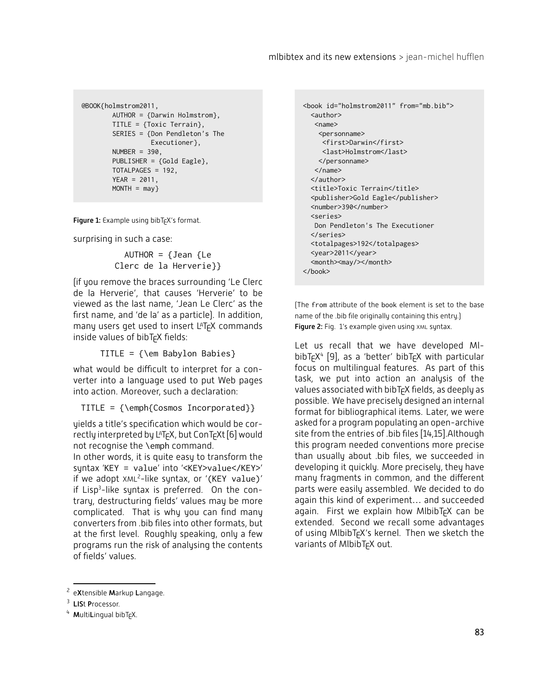```
@BOOK{holmstrom2011,
       AUTHOR = {Darwin Holmstrom},
       TITLE = {Toxic Terrain},
       SERIES = {Don Pendleton's The
                 Executioner},
       NUMBER = 390,PUBLISHER = {Gold Eagle},
       TOTALPAGES = 192,
       YEAR = 2011,
       MONTH = may
```
Figure 1: Example using bibT<sub>E</sub>X's format.

surprising in such a case:

AUTHOR =  $\{Jean\}$ Clerc de la Herverie}}

[if you remove the braces surrounding 'Le Clerc de la Herverie', that causes 'Herverie' to be viewed as the last name, 'Jean Le Clerc' as the first name, and 'de la' as a particle). In addition, many users get used to insert  $L^{AT}F^{\prime}X$  commands inside values of bibT<sub>F</sub>X fields:

TITLE = {\em Babylon Babies}

what would be difficult to interpret for a converter into a language used to put Web pages into action. Moreover, such a declaration:

TITLE = {\emph{Cosmos Incorporated}}

yields a title's specification which would be correctly interpreted by L<sup>A</sup>T<sub>E</sub>X, but ConT<sub>E</sub>Xt [6] would not recognise the \emph command.

In other words, it is quite easy to transform the syntax 'KEY = value' into '<KEY>value</KEY>' if we adopt  $XML^2$ -like syntax, or '(KEY value)' if Lisp<sup>3</sup>-like syntax is preferred. On the contrary, destructuring fields' values may be more complicated. That is why you can find many converters from .bib files into other formats, but at the first level. Roughly speaking, only a few programs run the risk of analysing the contents of fields' values.

```
<book id="holmstrom2011" from="mb.bib">
 <author>
   <name>
    <personname>
    <first>Darwin</first>
     <last>Holmstrom</last>
   \langle/nersonname>
  \langle/name>
  </author>
  <title>Toxic Terrain</title>
  <publisher>Gold Eagle</publisher>
  <number>390</number>
  <series>
  Don Pendleton's The Executioner
 </series>
 <totalpages>192</totalpages>
 <year>2011</year>
 <month><may/></month>
</book>
```
The from attribute of the book element is set to the base name of the .bib file originally containing this entry.) Figure 2: Fig. 1's example given using XML syntax.

Let us recall that we have developed MI $b$ ibT<sub>E</sub>X<sup>4</sup> [9], as a 'better' bibT<sub>E</sub>X with particular focus on multilingual features. As part of this task, we put into action an analysis of the values associated with  $b$ ibT<sub>E</sub>X fields, as deeply as possible. We have precisely designed an internal format for bibliographical items. Later, we were asked for a program populating an open-archive site from the entries of .bib files [14,15].Although this program needed conventions more precise than usually about .bib files, we succeeded in developing it quickly. More precisely, they have many fragments in common, and the different parts were easily assembled. We decided to do again this kind of experiment... and succeeded again. First we explain how MlbibT<sub>F</sub>X can be extended. Second we recall some advantages of using MlbibT<sub>F</sub>X's kernel. Then we sketch the variants of MlbibT<sub>F</sub>X out.

 $2$  eXtensible Markup Langage.

<sup>&</sup>lt;sup>3</sup> LISt Processor.

 $4$  MultiLingual bibT<sub>E</sub>X.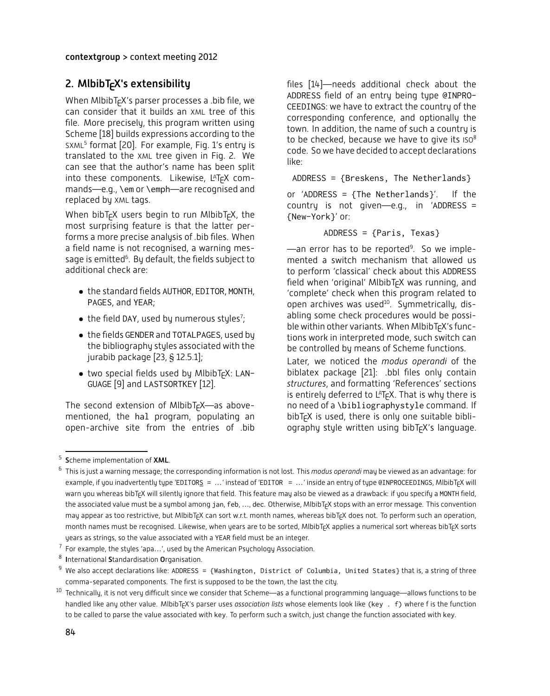#### contextgroup > context meeting 2012

### 2. MlbibT<sub>F</sub>X's extensibility

When MibibT $\epsilon$ X's parser processes a .bib file, we Can consider that it builds an XML tree of this file. More precisely, this program written using Scheme [18] builds expressions according to the SXML<sup>5</sup> format [20]. For example, Fig. 1's entry is translated to the XML tree given in Fig. 2. We can see that the author's name has been split into these components. Likewise, L<sup>a</sup>T<sub>E</sub>X commands—e.g., \em or \emph—are recognised and replaced by XML tags.

When bibT $\epsilon$ X users begin to run MlbibT $\epsilon$ X, the most surprising feature is that the latter performs a more precise analysis of bib files. When a field name is not recognised, a warning message is emitted<sup>6</sup>. By default, the fields subject to additional check are:

- the standard fields AUTHOR, EDITOR, MONTH, PAGES, and YEAR;
- the field DAY, used by numerous styles<sup>7</sup>;
- $\bullet\,$  the fields GENDER and TOTALPAGES, used by the bibliography styles associated with the jurabib package [23,  $\S$  12.5.1];
- two special fields used by MlbibTcX: LAN-GUAGE [9] and LASTSORTKEY [12].

The second extension of MlbibT<sub>EX</sub>—as abovementioned, the hal program, populating an open-archive site from the entries of .bib files  $[14]$ -needs additional check about the ADDRESS field of an entry being type @INPRO-CEEDINGS: we have to extract the country of the corresponding conference, and optionally the town. In addition, the name of such a country is to be checked, because we have to give its  $\mathsf{iso}^8$ code. So we have decided to accept declarations like:

ADDRESS = {Breskens, The Netherlands}

or 'ADDRESS = {The Netherlands}'. If the country is not given-e.g., in 'ADDRESS = {New-York}' or:

ADDRESS = {Paris, Texas}

—an error has to be reported<sup>9</sup>. So we implemented a switch mechanism that allowed us to perform 'classical' check about this ADDRESS  ${\rm field}$  when 'original' M ${\rm bb}$   $\overline{\rm E}$ X was running, and 'complete' check when this program related to open archives was used<sup>10</sup>. Symmetrically, disabling some check procedures would be possible within other variants. When MlbibT<sub>F</sub>X's functions work in interpreted mode, such switch can be controlled by means of Scheme functions.

Later, we noticed the *modus operandi* of the biblatex package  $[21]$ : .bbl files only contain structures, and formatting 'References' sections is entirely deferred to LAT<sub>EX</sub>. That is why there is no need of a \bibliographystyle command. If bibT $\epsilon$ X is used, there is only one suitable bibliography style written using bibT<sub>F</sub>X's language.

 $5$  Scheme implementation of XML.

<sup>&</sup>lt;sup>6</sup> This is just a warning message; the corresponding information is not lost. This *modus operandi* may be viewed as an advantage: for example, if you inadvertently type 'EDITORS =  $\dots$ ' instead of 'EDITOR =  $\dots$ ' inside an entry of type @INPROCEEDINGS, MIbibT<sub>E</sub>X will warn you whereas bibT<sub>E</sub>X will silently ignore that field. This feature may also be viewed as a drawback: if you specify a MONTH field, the associated value must be a symbol among jan, feb, …, dec. Otherwise, MlbibT<sub>E</sub>X stops with an error message. This convention may appear as too restrictive, but MlbibT<sub>E</sub>X can sort w.r.t. month names, whereas bibT<sub>E</sub>X does not. To perform such an operation, month names must be recognised. Likewise, when years are to be sorted, MlbibT<sub>E</sub>X applies a numerical sort whereas bibT<sub>E</sub>X sorts years as strings, so the value associated with a YEAR field must be an integer.

 $^7$  For example, the styles 'apa $\ldots'$ , used by the American Psychology Association.

 $8$  International Standardisation Organisation.

 $^9$  We also accept declarations like: ADDRESS = {Washington, District of Columbia, United States} that is, a string of three comma-separated components. The first is supposed to be the town, the last the city.

 $^{10}$  Technically, it is not very difficult since we consider that Scheme—as a functional programming language—allows functions to be handled like any other value. MlbibT<sub>F</sub>X's parser uses association lists whose elements look like (key . f) where f is the function to be called to parse the value associated with key. To perform such a switch, just change the function associated with key.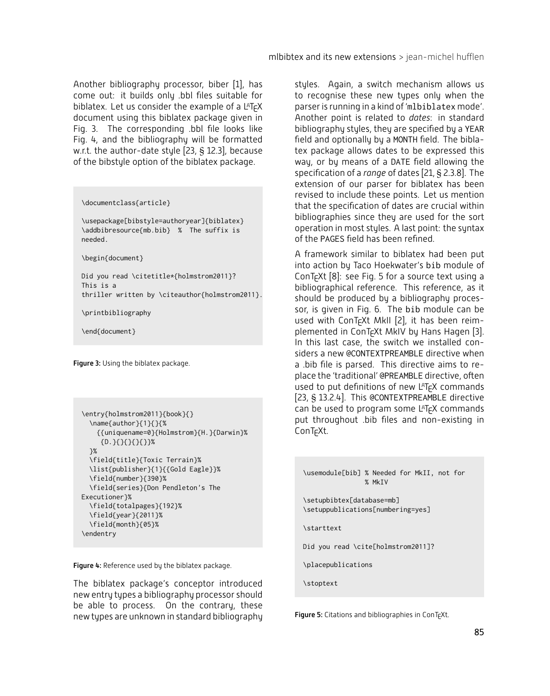Another bibliography processor, biber [1], has come out: it builds only .bbl files suitable for biblatex. Let us consider the example of a  $L^{\text{AT}}$ <sub>F</sub>X document using this biblatex package given in Fig. 3. The corresponding bbl file looks like Fig. 4, and the bibliography will be formatted w.r.t. the author-date style  $[23, S, 12.3]$ , because of the bibstule option of the biblatex package.

\documentclass{article}

\usepackage[bibstyle=authoryear]{biblatex} \addbibresource{mb.bib} % The suffix is needed.

\begin{document}

Did you read \citetitle\*{holmstrom2011}? This is a thriller written by \citeauthor{holmstrom2011}.

\printbibliography

\end{document}

Figure 3: Using the biblatex package.

```
\entry{holmstrom2011}{book}{}
  \name{author}{1}{}{%
    {{uniquename=0}{Holmstrom}{H.}{Darwin}%
     {D. }{}_{\{}{}_{\{}\{}\{}\{}\}\}%
  }%
  \field{title}{Toxic Terrain}%
  \list{publisher}{1}{{Gold Eagle}}%
  \field{number}{390}%
  \field{series}{Don Pendleton's The
Executioner}%
  \field{totalpages}{192}%
  \field{year}{2011}%
  \field{month}{05}%
\endentry
```
Figure 4: Reference used by the biblatex package.

The biblatex package's conceptor introduced new entry types a bibliography processor should be able to process. On the contrary, these new types are unknown in standard bibliography

styles. Again, a switch mechanism allows us to recognise these new types only when the parser is running in a kind of 'mlbiblatex mode'. Another point is related to *dates*: in standard bibliography styles, they are specified by a YEAR field and optionally by a MONTH field. The biblatex package allows dates to be expressed this way, or by means of a DATE field allowing the specification of a *range* of dates [21, § 2.3.8]. The extension of our parser for biblatex has been revised to include these points. Let us mention that the specification of dates are crucial within bibliographies since they are used for the sort operation in most styles. A last point: the syntax of the PAGES field has been refined.

A framework similar to biblatex had been put into action by Taco Hoekwater's bib module of  $ConT_FXt$  [8]: see Fig. 5 for a source text using a bibliographical reference. This reference, as it should be produced by a bibliography processor, is given in Fig. 6. The bib module can be used with ConT<sub>E</sub>Xt MkII [2], it has been reimplemented in ConT<sub>F</sub>Xt MkIV by Hans Hagen [3]. In this last case, the switch we installed considers a new @CONTEXTPREAMBLE directive when a bib file is parsed. This directive aims to replace the 'traditional' @PREAMBLE directive, often used to put definitions of new LAT<sub>F</sub>X commands [23, § 13.2.4]. This @CONTEXTPREAMBLE directive can be used to program some  $L^{\text{AT}}$ <sub> $F$ </sub> $X$  commands put throughout .bib files and non-existing in ConT<sub>F</sub>Xt.

\usemodule[bib] % Needed for MkII, not for % MkIV

```
\setupbibtex[database=mb]
\setuppublications[numbering=yes]
```
\starttext

Did you read \cite[holmstrom2011]?

\placepublications

\stoptext

**Figure 5:** Citations and bibliographies in ConT $\epsilon$ Xt.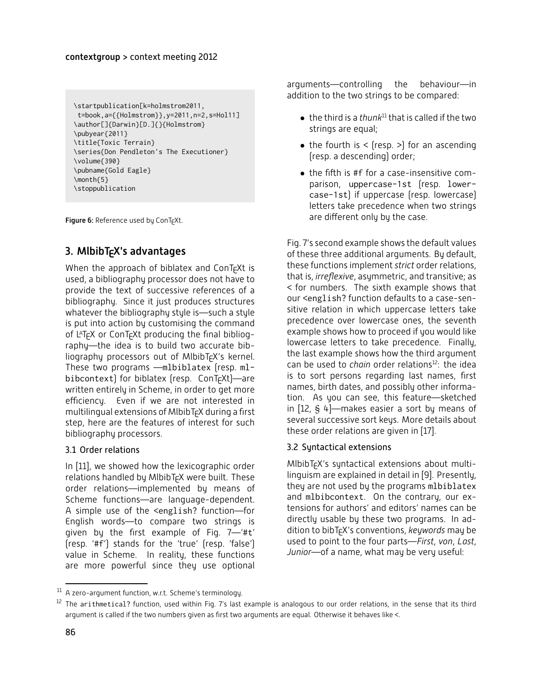```
\startpublication[k=holmstrom2011,
t=book,a={{Holmstrom}},y=2011,n=2,s=Hol11]
\author[]{Darwin}[D.]{}{Holmstrom}
\pubyear{2011}
\title{Toxic Terrain}
\series{Don Pendleton's The Executioner}
\volume{390}
\pubname{Gold Eagle}
\month{5}
\stoppublication
```
**Figure 6:** Reference used by ConT<sub>E</sub>Xt.

### 3. MlbibT $\epsilon$ X's advantages

When the approach of biblatex and ConT $\epsilon$ Xt is used, a bibliography processor does not have to provide the text of successive references of a bibliography. Since it just produces structures whatever the bibliography style is—such a style is put into action by customising the command of LAT<sub>F</sub>X or ConT<sub>F</sub>Xt producing the final bibliography-the idea is to build two accurate bibliography processors out of MlbibT<sub>F</sub>X's kernel. These two programs -mlbiblatex (resp. mlbibcontext) for biblatex (resp.  $ConTrXt$ )—are written entirely in Scheme, in order to get more efficiency. Even if we are not interested in multilingual extensions of MlbibT<sub>F</sub>X during a first step, here are the features of interest for such bibliography processors.

#### 3.1 Order relations

In [11], we showed how the lexicographic order relations handled by MlbibT<sub>F</sub>X were built. These order relations-implemented by means of Scheme functions-are language-dependent. A simple use of the <english? function-for English words-to compare two strings is given by the first example of Fig.  $7$ - $4t'$ [resp. '#f'] stands for the 'true' [resp. 'false'] value in Scheme. In reality, these functions are more powerful since they use optional arguments-controlling the behaviour-in addition to the two strings to be compared:

- the third is a *thunk*<sup>11</sup> that is called if the two strings are equal;
- $\bullet$  the fourth is < (resp. >) for an ascending fresp. a descendingl order:
- $\bullet$  the fifth is #f for a case-insensitive comparison, uppercase-1st (resp. lowercase-1st) if uppercase (resp. lowercase) letters take precedence when two strings are different only by the case.

Fig. 7's second example shows the default values of these three additional arguments. By default, these functions implement *strict* order relations, that is, *irreflexive*, asymmetric, and transitive; as  $\le$  for numbers. The sixth example shows that our <english? function defaults to a case-sensitive relation in which uppercase letters take precedence over lowercase ones, the seventh example shows how to proceed if you would like lowercase letters to take precedence. Finally, the last example shows how the third argument can be used to *chain* order relations<sup>12</sup>: the idea is to sort persons regarding last names, first names, birth dates, and possibly other information. As you can see, this feature—sketched in [12,  $\S$  4]—makes easier a sort by means of several successive sort keys. More details about these order relations are given in [17].

#### 3.2 Syntactical extensions

MIbibT<sub>F</sub>X's syntactical extensions about multilinguism are explained in detail in [9]. Presently, they are not used by the programs mlbiblatex and mlbibcontext. On the contrary, our extensions for authors' and editors' names can be directly usable by these two programs. In addition to bibT<sub>E</sub>X's conventions, *keywords* may be used to point to the four parts-*First*, von, Last, Junior—of a name, what may be very useful:

 $^{11}$  A zero-argument function, w.r.t. Scheme's terminology.

 $^{12}$  The arithmetical? function, used within Fig. 7's last example is analogous to our order relations, in the sense that its third argument is called if the two numbers given as first two arguments are equal. Otherwise it behaves like <.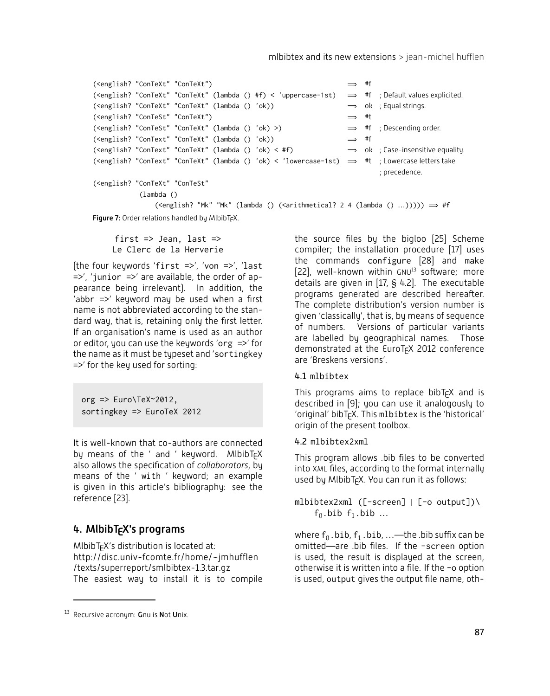```
(\text{conZish? "ConText" "ConText") \implies #f
(\text{Cenzlish? } " \text{ConText" } " \text{ConText" } (\text{lambda } \{ ) \# f \} < \text{' uppercase-1st}) \implies #f : Default values explicited.
(\leq \text{length?} "ConTeXt" "ConTeXt" (lambda () 'ok)) \implies ok ; Equal strings.
(\text{<english? "ConTest" "ConText") \implies #t
(\text{<end} \text{?} 'ConTest'' 'ConText'' 'Lambda a () 'ok) >) \Rightarrow #f ; Descending order.(\text{<endish? "ConText" "ConText" (lambda () 'ok)) \Rightarrow #f(\text{conTest" "ConText" "ConText" (lambda () 'ok) < #f) \Rightarrow ok ; Case-insensitive equality.
(<english? "ConText" "ConTeXt" (lambda () 'ok) < 'lowercase-1st) \implies #t ; Lowercase letters take
                                                                              ; precedence.
(<english? "ConTeXt" "ConTeSt"
            (lambda ()
                (\text{English? "Mk" "Mk" (lambda () (\text{Sarithmetical? 2 4 (lambda () ...))))}) \Rightarrow #f
```
Figure 7: Order relations handled by MlbibTFX.

first  $\Rightarrow$  Jean, last  $\Rightarrow$ Le Clerc de la Herverie

(the four keywords 'first =>', 'von =>', 'last  $\Rightarrow$ ', 'junior  $\Rightarrow$ ' are available, the order of appearance being irrelevant). In addition, the 'abbr  $\Rightarrow$ ' keyword may be used when a first name is not abbreviated according to the standard way, that is, retaining only the first letter. If an organisation's name is used as an author or editor, you can use the keywords 'org  $\Rightarrow$ ' for the name as it must be typeset and 'sortingkey  $\Rightarrow$ ' for the key used for sorting:

org  $\Rightarrow$  Euro\TeX~2012, sortingkey => EuroTeX 2012

It is well-known that co-authors are connected by means of the ' and ' keyword. MlbibTFX also allows the specification of *collaborators*, by means of the ' with ' keyword; an example is given in this article's bibliography: see the reference [23].

### 4. MlbibT<sub>F</sub>X's programs

 $M$ lbibT $\epsilon$ X's distribution is located at: http://disc.univ-fcomte.fr/home/~jmhufflen /texts/superreport/smlbibtex-1.3.tar.gz The easiest way to install it is to compile the source files by the bigloo [25] Scheme compiler; the installation procedure [17] uses the commands configure [28] and make  $[22]$ , well-known within GNU $^{13}$  software; more details are given in  $[17, S, 4.2]$ . The executable programs generated are described hereafter. The complete distribution's version number is given 'classically', that is, by means of sequence of numbers. Versions of particular variants are labelled by geographical names. Those demonstrated at the EuroT<sub>F</sub>X 2012 conference are 'Breskens versions'.

#### 4.1 mlbibtex

This programs aims to replace bibT $\epsilon$ X and is described in  $[9]$ ; you can use it analogously to 'original' bibT<sub>F</sub>X. This mlbibtex is the 'historical' origin of the present toolbox.

#### 4.2 mlbibtex2xml

This program allows .bib files to be converted into XML files, according to the format internally used by MlbibT<sub>F</sub>X. You can run it as follows:

#### mlbibtex2xml ([-screen]  $|$  [-o output])  $f_0$ .bib  $f_1$ .bib ...

where  $f_0$ .bib,  $f_1$ .bib, ...—the .bib suffix can be omitted-are .bib files. If the -screen option is used, the result is displayed at the screen, otherwise it is written into a file. If the -o option is used, output gives the output file name, oth-

 $13$  Recursive acronym: Gnu is Not Unix.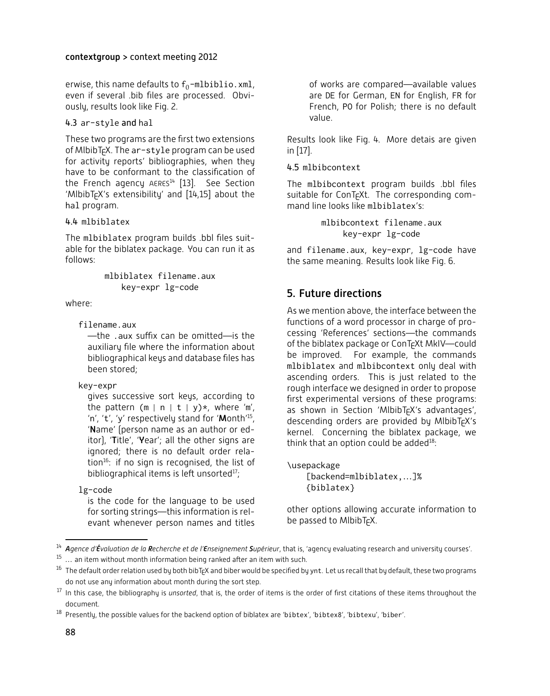#### contextgroup > context meeting 2012

erwise, this name defaults to  $f_0$ -mlbiblio.xml, even if several .bib files are processed. Obviously, results look like Fig. 2.

#### 4.3 ar-style and hal

These two programs are the first two extensions of MIbibT<sub>E</sub>X. The ar-style program can be used for activity reports' bibliographies, when they have to be conformant to the classification of the French agency  $AERES^{14}$  [13]. See Section  $^{\prime}$ MlbibT<sub>E</sub>X's extensibility' and [14,15] about the hal program.

#### 4.4 mlbiblatex

The mlbiblatex program builds .bbl files suitable for the biblatex package. You can run it as  $f$ ollows $\cdot$ 

> mlbiblatex filename.aux key-expr lg-code

where:

#### filename.aux

 $\frac{1}{\pi}$  .aux suffix can be omitted—is the auxiliary file where the information about bibliographical keys and database files has been stored:

key-expr

gives successive sort keys, according to the pattern (m | n | t | y)\*, where 'm', 'n', 't', 'y' respectively stand for 'Month'<sup>15</sup>, 'Name' (person name as an author or editor), '**T**itle', '**Y**ear'; all the other signs are ignored; there is no default order relation<sup>16</sup>: if no sign is recognised, the list of bibliographical items is left unsorted<sup>17</sup>:

lg-code

is the code for the language to be used for sorting strings-this information is relevant whenever person names and titles of works are compared-available values are DE for German, EN for English, FR for French, PO for Polish; there is no default value.

Results look like Fig. 4. More detais are given in [17]

#### 4.5 mlbibcontext

The mlbibcontext program builds .bbl files suitable for ConT<sub>F</sub>Xt. The corresponding command line looks like mlbiblatex's:

> mlbibcontext filename.aux key-expr lg-code

and filename.aux, key-expr, lg-code have the same meaning. Results look like Fig. 6.

# 5. Future directions

As we mention above, the interface between the functions of a word processor in charge of processing 'References' sections-the commands of the biblatex package or ConT<sub>F</sub>Xt MkIV-could be improved. For example, the commands mlbiblatex and mlbibcontext only deal with ascending orders. This is just related to the rough interface we designed in order to propose first experimental versions of these programs: as shown in Section 'MlbibT<sub>E</sub>X's advantages', descending orders are provided by MlbibT $\epsilon$ X's kernel. Concerning the biblatex package, we think that an option could be added $^{18}$ :

\usepackage  $[backend=mlbiblatex,...]$ % {biblatex}

other options allowing accurate information to be passed to MlbibT<sub>F</sub>X.

<sup>&</sup>lt;sup>14</sup> Agence d'Évaluation de la **R**echerche et de l'Enseignement Supérieur, that is, 'agency evaluating research and university courses'.

 $15$  ... an item without month information being ranked after an item with such.

 $^{16}\,$  The default order relation used by both bibT<sub>E</sub>X and biber would be specified by ynt. Let us recall that by default, these two programs do not use any information about month during the sort step.

<sup>&</sup>lt;sup>17</sup> In this case, the bibliography is *unsorted*, that is, the order of items is the order of first citations of these items throughout the document.

 $^{18}$  Presently, the possible values for the backend option of biblatex are 'bibtex', 'bibtex8', 'bibtexu', 'biber'.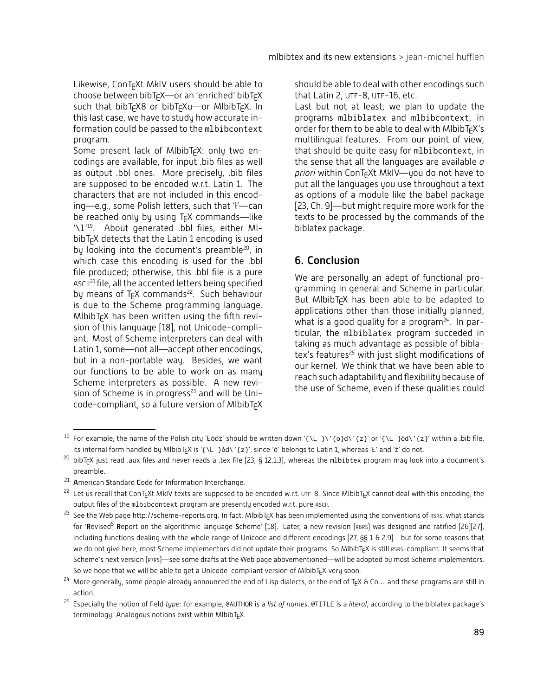Likewise, ConT<sub>E</sub>Xt MkIV users should be able to choose between bibT<sub>F</sub>X-or an 'enriched' bibT<sub>F</sub>X such that bibT<sub>F</sub>X8 or bibT<sub>F</sub>Xu-or MlbibT<sub>F</sub>X. In this last case, we have to study how accurate information could be passed to the mlbibcontext program.

Some present lack of MibibT<sub>EX</sub>: only two encodings are available, for input .bib files as well as output .bbl ones. More precisely, .bib files are supposed to be encoded w.r.t. Latin 1. The characters that are not included in this encoding—e.g., some Polish letters, such that 'ł'—can be reached only by using T<sub>F</sub>X commands-like '\1'<sup>19</sup>. About generated .bbl files, either MIbibT<sub>F</sub>X detects that the Latin 1 encoding is used by looking into the document's preamble<sup>20</sup>, in which case this encoding is used for the .bbl file produced; otherwise, this .bbl file is a pure ASCII<sup>21</sup> file, all the accented letters being specified by means of T<sub>F</sub>X commands<sup>22</sup>. Such behaviour is due to the Scheme programming language.  $M$ lbib $T$ <sub>F</sub> $X$  has been written using the fifth revision of this language [18], not Unicode-compliant. Most of Scheme interpreters can deal with Latin 1, some-not all-accept other encodings, but in a non-portable way. Besides, we want our functions to be able to work on as many Scheme interpreters as possible. A new revision of Scheme is in progress<sup>23</sup> and will be Unicode-compliant, so a future version of MlbibT<sub>E</sub>X

should be able to deal with other encodings such that Latin 2, UTF-8, UTF-16, etc.

Last but not at least, we plan to update the programs mlbiblatex and mlbibcontext, in order for them to be able to deal with MIbibT<sub>E</sub>X's multilingual features. From our point of view. that should be quite easy for mlbibcontext, in the sense that all the languages are available *q* priori within ConT<sub>F</sub>Xt MkIV-you do not have to put all the languages you use throughout a text as options of a module like the babel package [23, Ch. 9]—but might require more work for the texts to be processed by the commands of the biblatex package.

### 6. Conclusion

We are personally an adept of functional programming in general and Scheme in particular. But MIbibT<sub>F</sub>X has been able to be adapted to applications other than those initially planned, what is a good quality for a program<sup>24</sup>. In particular, the mlbiblatex program succeded in taking as much advantage as possible of biblatex's features<sup>25</sup> with just slight modifications of our kernel. We think that we have been able to reach such adaptability and flexibility because of the use of Scheme, even if these qualities could

<sup>&</sup>lt;sup>19</sup> For example, the name of the Polish city 'Łódź' should be written down '{\L }\'{o}d\'{z}' or '{\L }ód\'{z}' within a .bib file, its internal form handled by MlbibT<sub>E</sub>X is '{\L }ód\'{z}', since 'ó' belongs to Latin 1, whereas '<mark>L'</mark> and 'ź' do not.

 $^\mathrm{20}$  bibT<sub>E</sub>X just read .aux files and never reads a .tex file [23, § 12.1.3], whereas the m1bibtex program may look into a document's preamble.

<sup>&</sup>lt;sup>21</sup> American Standard Code for Information Interchange.

<sup>&</sup>lt;sup>22</sup> Let us recall that ConT<sub>E</sub>Xt MkIV texts are supposed to be encoded w.r.t. <mark>utf-8. Since MlbibT<sub>E</sub>X cannot deal with this encoding, the</mark> output files of the mlbibcontext program are presently encoded w.r.t. pure ASCII.

 $^{23}$  See the Web page http://scheme-reports.org. In fact, MlbibT<sub>E</sub>X has been implemented using the conventions of R5Rs, what stands for '**R**evised<sup>5</sup> **R**eport on the algorithmic language **S**cheme' [18]. Later, a new revision (R6RS) was designed and ratified [26][27], including functions dealing with the whole range of Unicode and different encodings [27,  $\S$ § 1 & 2.9]—but for some reasons that we do not give here, most Scheme implementors did not update their programs. So MlbibT<sub>E</sub>X is still <sub>R5RS</sub>-compliant. It seems that Scheme's next version (R7RS)—see some drafts at the Web page abovementioned—will be adopted by most Scheme implementors. So we hope that we will be able to get a Unicode-compliant version of MlbibT<sub>F</sub>X very soon.

 $^{24}$  More generally, some people already announced the end of Lisp dialects, or the end of T<sub>E</sub>X & Co… and these programs are still in action.

<sup>&</sup>lt;sup>25</sup> Especially the notion of field *type*: for example, @AUTHOR is a *list of names*, @TITLE is a *literal*, according to the biblatex package's terminology. Analogous notions exist within MlbibTFX.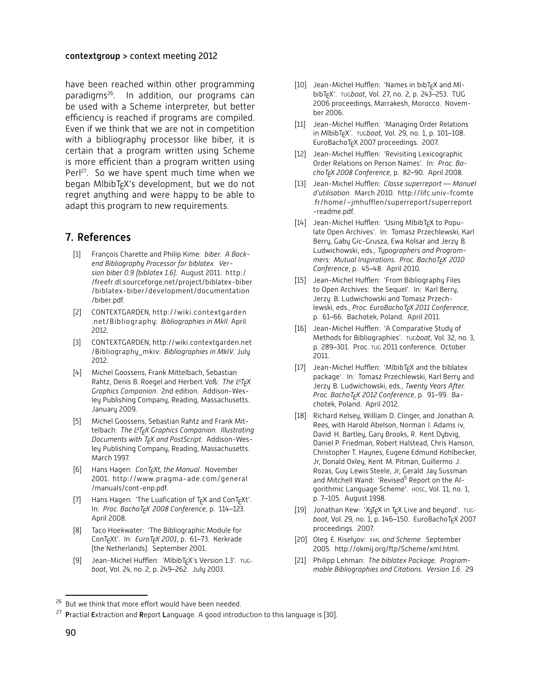#### contextgroup > context meeting 2012

have been reached within other programming paradigms<sup>26</sup>. In addition, our programs can be used with a Scheme interpreter, but better efficiency is reached if programs are compiled. Even if we think that we are not in competition with a bibliography processor like biber, it is certain that a program written using Scheme is more efficient than a program written using Perl<sup>27</sup>. So we have spent much time when we began MlbibT $\epsilon$ X's development, but we do not regret anything and were happy to be able to adapt this program to new requirements.

#### 7. References

- [1] François Charette and Philip Kime: biber. A Backend Bibliography Processor for biblatex. Ver $s$ *ion biber 0.9 (biblatex 1.6)*. August 2011. http:/ /freefr.dl.sourceforge.net/project/biblatex-biber /biblatex-biber/development/documentation /biber.pdf.
- [2] CONTEXTGARDEN, http://wiki.contextgarden .net/Bibliography: Bibliographies in MkII. April 2012.
- [3] CONTEXTGARDEN, http://wiki.contextgarden.net /Bibliography mkiv: Bibliographies in MkIV. July 2012.
- [4] Michel Goossens, Frank Mittelbach, Sebastian Rahtz, Denis B. Roegel and Herbert Voß: *The L<sup>a</sup>T<sub>E</sub>X Graphics Companion.* 2nd edition. Addison-Wesley Publishing Company, Reading, Massachusetts. January 2009.
- [5] Michel Goossens, Sebastian Rahtz and Frank Mittelbach: The L<sup>A</sup>T<sub>F</sub>X Graphics Companion. Illustrating *Documents with T<sub>F</sub>X and PostScript. Addison-Wes*ley Publishing Company, Reading, Massachusetts. March 1997.
- [6] Hans Hagen: *ConT<sub>E</sub>Xt, the Manual*. November 2001. http://www.pragma-ade.com/general /manuals/cont-enp.pdf.
- [7] Hans Hagen: 'The Luafication of  $Tr X$  and  $ConTr Xt'$ . ln: *Proc. BachoT<sub>E</sub>X 2008 Conference,* p. 114–123. April 2008.
- [8] Taco Hoekwater: 'The Bibliographic Module for ConT<sub>E</sub>Xt'. In: *EuroT<sub>E</sub>X 2001*, p. 61–73. Kerkrade [the Netherlands]. September 2001.
- [9] Jean-Michel Hufflen: 'MlbibT<sub>F</sub>X's Version 1.3'. TUGboat, Vol. 24, no. 2, p. 249–262. July 2003.
- [10] Jean-Michel Hufflen: 'Names in bibT<sub>F</sub>X and MIbibT<sub>E</sub>X'. Tuc*boat*, Vol. 27, no. 2, p. 243–253. TUG 2006 proceedings, Marrakesh, Morocco. November 2006.
- [11] Jean-Michel Hufflen: 'Managing Order Relations in MlbibT<sub>E</sub>X'. Tucboat, Vol. 29, no. 1, p. 101–108. EuroBachoTcX 2007 proceedings. 2007.
- [12] Jean-Michel Hufflen: 'Revisiting Lexicographic Order Relations on Person Names'. In: Proc. Ba*choT<sub>E</sub>X 2008 Conference,* p. 82–90. April 2008.
- [13] Jean-Michel Hufflen: *Classe superreport* Manuel d'utilisation. March 2010. http://lifc.univ-fcomte .fr/home/~jmhufflen/superreport/superreport -readme.pdf.
- [14] Jean-Michel Hufflen: 'Using MlbibTcX to Populate Open Archives'. In: Tomasz Przechlewski, Karl Berry, Gaby Gic-Grusza, Ewa Kolsar and Jerzy B. Ludwichowski, eds., Typographers and Program*mers: Mutual Inspirations. Proc. BachoT<sub>F</sub>X 2010 Conference*, p. 45–48. April 2010.
- [15] Jean-Michel Hufflen: 'From Bibliography Files to Open Archives: the Sequel'. In: Karl Berry, Jerzy B. Ludwichowski and Tomasz Przechlewski, eds., *Proc. EuroBachoT<sub>E</sub>X 2011 Conference*, p. 61–66. Bachotek, Poland. April 2011.
- [16] Jean-Michel Hufflen: 'A Comparative Study of Methods for Bibliographies'. Tucboat, Vol. 32, no. 3, p. 289-301. Proc. TUG 2011 conference. October 2011.
- [17] Jean-Michel Hufflen: 'MlbibT<sub>F</sub>X and the biblatex package'. In: Tomasz Przechlewski, Karl Berry and Jerzy B. Ludwichowski, eds., Twenty Years After. Proc. BachoT<sub>E</sub>X 2012 Conference, p. 91–99. Bachotek, Poland. April 2012.
- [18] Richard Kelsey, William D. Clinger, and Jonathan A. Rees, with Harold Abelson, Norman I. Adams iv, David H. Bartley, Gary Brooks, R. Kent Dybvig, Daniel P. Friedman, Robert Halstead, Chris Hanson, Christopher T. Haynes, Eugene Edmund Kohlbecker, Jr, Donald Oxley, Kent M. Pitman, Guillermo J. Rozas, Guy Lewis Steele, Jr, Gerald Jay Sussman and Mitchell Wand: 'Revised<sup>5</sup> Report on the Algorithmic Language Scheme'. Hosc, Vol. 11, no. 1, p. 7-105. August 1998.
- [19] Jonathan Kew: 'XaTEX in TEX Live and beyond'. TUGboat, Vol. 29, no. 1, p. 146–150. EuroBachoT<sub>E</sub>X 2007 proceedings. 2007.
- [20] Oleg E. Kiselyov: XML and Scheme. September 2005. http://okmij.org/ftp/Scheme/xml.html.
- [21] Philipp Lehman: The biblatex Package. Programmable Bibliographies and Citations. Version 1.6. 29

<sup>&</sup>lt;sup>26</sup> But we think that more effort would have been needed.

<sup>&</sup>lt;sup>27</sup> Practial Extraction and Report Language. A good introduction to this language is [30].